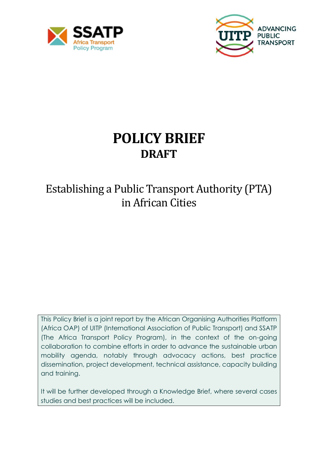



# **POLICY BRIEF DRAFT**

## Establishing a Public Transport Authority (PTA) in African Cities

This Policy Brief is a joint report by the African Organising Authorities Platform (Africa OAP) of UITP (International Association of Public Transport) and SSATP (The Africa Transport Policy Program), in the context of the on-going collaboration to combine efforts in order to advance the sustainable urban mobility agenda, notably through advocacy actions, best practice dissemination, project development, technical assistance, capacity building and training.

It will be further developed through a Knowledge Brief, where several cases studies and best practices will be included.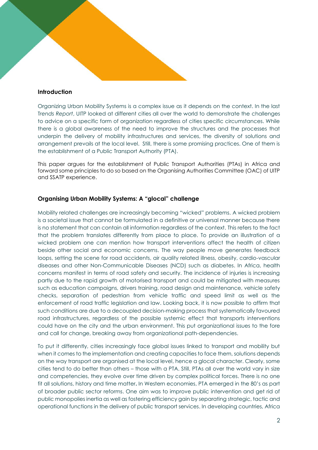## **Introduction**

Organizing Urban Mobility Systems is a complex issue as it depends on the context. In the last T*rends Report*, UITP looked at different cities all over the world to demonstrate the challenges to advice on a specific form of organization regardless of cities specific circumstances. While there is a global awareness of the need to improve the structures and the processes that underpin the delivery of mobility infrastructures and services, the diversity of solutions and arrangement prevails at the local level. Still, there is some promising practices. One of them is the establishment of a Public Transport Authority (PTA).

This paper argues for the establishment of Public Transport Authorities (PTAs) in Africa and forward some principles to do so based on the Organising Authorities Committee (OAC) of UITP and SSATP experience.

## **Organising Urban Mobility Systems: A "glocal" challenge**

Mobility related challenges are increasingly becoming "wicked" problems. A wicked problem is a societal issue that cannot be formulated in a definitive or universal manner because there is no statement that can contain all information regardless of the context. This refers to the fact that the problem translates differently from place to place. To provide an illustration of a wicked problem one can mention how transport interventions affect the health of citizen beside other social and economic concerns. The way people move generates feedback loops, setting the scene for road accidents, air quality related illness, obesity, cardio-vascular diseases and other Non-Communicable Diseases (NCD) such as diabetes. In Africa, health concerns manifest in terms of road safety and security. The incidence of injuries is increasing partly due to the rapid growth of motorised transport and could be mitigated with measures such as education campaigns, drivers training, road design and maintenance, vehicle safety checks, separation of pedestrian from vehicle traffic and speed limit as well as the enforcement of road traffic legislation and law. Looking back, it is now possible to affirm that such conditions are due to a decoupled decision-making process that systematically favoured road infrastructures, regardless of the possible systemic effect that transports interventions could have on the city and the urban environment. This put organizational issues to the fore and call for change, breaking away from organizational path-dependencies.

To put it differently, cities increasingly face global issues linked to transport and mobility but when it comes to the implementation and creating capacities to face them, solutions depends on the way transport are organised at the local level, hence a glocal character. Clearly, some cities tend to do better than others – those with a PTA. Still, PTAs all over the world vary in size and competencies, they evolve over time driven by complex political forces. There is no one fit all solutions, history and time matter**.** In Western economies, PTA emerged in the 80's as part of broader public sector reforms. One aim was to improve public intervention and get rid of public monopolies inertia as well as fostering efficiency gain by separating strategic, tactic and operational functions in the delivery of public transport services. In developing countries, Africa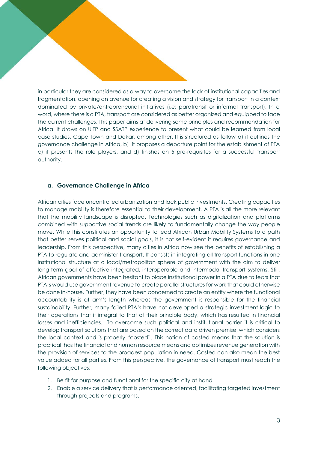in particular they are considered as a way to overcome the lack of institutional capacities and fragmentation, opening an avenue for creating a vision and strategy for transport in a context dominated by private/entrepreneurial initiatives (i.e: paratransit or informal transport). In a word, where there is a PTA, transport are considered as better organized and equipped to face the current challenges. This paper aims at delivering some principles and recommendation for Africa. It draws on UITP and SSATP experience to present what could be learned from local case studies, Cape Town and Dakar, among other. It is structured as follow a) it outlines the governance challenge in Africa, b) it proposes a departure point for the establishment of PTA c) it presents the role players, and d) finishes on 5 pre-requisites for a successful transport authority.

## **a. Governance Challenge in Africa**

African cities face uncontrolled urbanization and lack public investments. Creating capacities to manage mobility is therefore essential to their development. A PTA is all the more relevant that the mobility landscape is disrupted. Technologies such as digitalization and platforms combined with supportive social trends are likely to fundamentally change the way people move. While this constitutes an opportunity to lead African Urban Mobility Systems to a path that better serves political and social goals, it is not self-evident it requires governance and leadership. From this perspective, many cities in Africa now see the benefits of establishing a PTA to regulate and administer transport. It consists in integrating all transport functions in one institutional structure at a local/metropolitan sphere of government with the aim to deliver long-term goal of effective integrated, interoperable and intermodal transport systems. Still, African governments have been hesitant to place institutional power in a PTA due to fears that PTA's would use government revenue to create parallel structures for work that could otherwise be done in-house. Further, they have been concerned to create an entity where the functional accountability is at arm's length whereas the government is responsible for the financial sustainability. Further, many failed PTA's have not developed a strategic investment logic to their operations that it integral to that of their principle body, which has resulted in financial losses and inefficiencies. To overcome such political and institutional barrier it is critical to develop transport solutions that are based on the correct data driven premise, which considers the local context and is properly "costed". This notion of costed means that the solution is practical, has the financial and human resource means and optimizes revenue generation with the provision of services to the broadest population in need. Costed can also mean the best value added for all parties. From this perspective, the governance of transport must reach the following objectives:

- 1. Be fit for purpose and functional for the specific city at hand
- 2. Enable a service delivery that is performance oriented, facilitating targeted investment through projects and programs.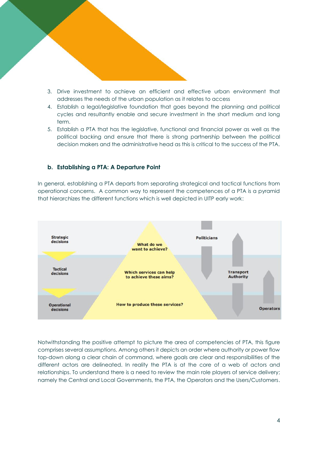- 3. Drive investment to achieve an efficient and effective urban environment that addresses the needs of the urban population as it relates to access
- 4. Establish a legal/legislative foundation that goes beyond the planning and political cycles and resultantly enable and secure investment in the short medium and long term.
- 5. Establish a PTA that has the legislative, functional and financial power as well as the political backing and ensure that there is strong partnership between the political decision makers and the administrative head as this is critical to the success of the PTA.

## **b. Establishing a PTA: A Departure Point**

In general, establishing a PTA departs from separating strategical and tactical functions from operational concerns. A common way to represent the competences of a PTA is a pyramid that hierarchizes the different functions which is well depicted in UITP early work:



Notwithstanding the positive attempt to picture the area of competencies of PTA, this figure comprises several assumptions. Among others it depicts an order where authority or power flow top-down along a clear chain of command, where goals are clear and responsibilities of the different actors are delineated. In reality the PTA is at the core of a web of actors and relationships. To understand there is a need to review the main role players of service delivery; namely the Central and Local Governments, the PTA, the Operators and the Users/Customers.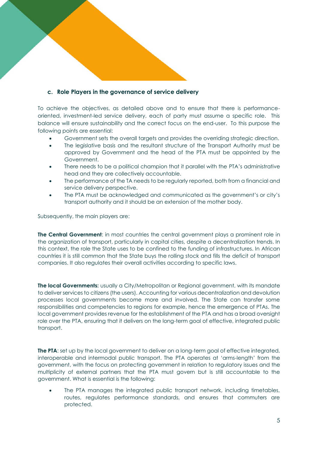## **c. Role Players in the governance of service delivery**

To achieve the objectives, as detailed above and to ensure that there is performanceoriented, investment-led service delivery, each of party must assume a specific role. This balance will ensure sustainability and the correct focus on the end-user. To this purpose the following points are essential:

- Government sets the overall targets and provides the overriding strategic direction.
- The legislative basis and the resultant structure of the Transport Authority must be approved by Government and the head of the PTA must be appointed by the Government.
- There needs to be a political champion that it parallel with the PTA's administrative head and they are collectively accountable.
- The performance of the TA needs to be regularly reported, both from a financial and service delivery perspective.
- The PTA must be acknowledged and communicated as the government's or city's transport authority and it should be an extension of the mother body.

Subsequently, the main players are:

**The Central Government**: in most countries the central government plays a prominent role in the organization of transport, particularly in capital cities, despite a decentralization trends. In this context, the role the State uses to be confined to the funding of infrastructures. In African countries it is still common that the State buys the rolling stock and fills the deficit of transport companies. It also regulates their overall activities according to specific laws.

**The local Governments:** usually a City/Metropolitan or Regional government, with its mandate to deliver services to citizens (the users). Accounting for various decentralization and devolution processes local governments become more and involved. The State can transfer some responsibilities and competencies to regions for example, hence the emergence of PTAs. The local government provides revenue for the establishment of the PTA and has a broad oversight role over the PTA, ensuring that it delivers on the long-term goal of effective, integrated public transport.

**The PTA:** set up by the local government to deliver on a long-term goal of effective integrated, interoperable and intermodal public transport. The PTA operates at 'arms-length' from the government, with the focus on protecting government in relation to regulatory issues and the multiplicity of external partners that the PTA must govern but is still accountable to the government. What is essential is the following:

• The PTA manages the integrated public transport network, including timetables, routes, regulates performance standards, and ensures that commuters are protected.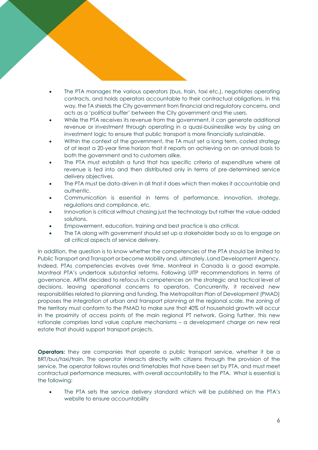- The PTA manages the various operators (bus, train, taxi etc.), negotiates operating contracts, and holds operators accountable to their contractual obligations. In this way, the TA shields the City government from financial and regulatory concerns, and acts as a 'political buffer' between the City government and the users.
- While the PTA receives its revenue from the government, it can generate additional revenue or investment through operating in a quasi-businesslike way by using an investment logic to ensure that public transport is more financially sustainable.
- Within the context of the government, the TA must set a long term, costed strategy of at least a 20-year time horizon that it reports on achieving on an annual basis to both the government and to customers alike.
- The PTA must establish a fund that has specific criteria of expenditure where all revenue is fed into and then distributed only in terms of pre-determined service delivery objectives.
- The PTA must be data-driven in all that it does which then makes it accountable and authentic.
- Communication is essential in terms of performance, innovation, strategy, regulations and compliance, etc.
- Innovation is critical without chasing just the technology but rather the value-added solutions.
- Empowerment, education, training and best practice is also critical.
- The TA along with government should set up a stakeholder body so as to engage on all critical aspects of service delivery.

In addition, the question is to know whether the competencies of the PTA should be limited to Public Transport and Transport or become Mobility and, ultimately, Land Development Agency. Indeed, PTAs competencies evolves over time. Montreal in Canada is a good example. Montreal PTA's undertook substantial reforms. Following UITP recommendations in terms of governance, ARTM decided to refocus its competences on the strategic and tactical level of decisions, leaving operational concerns to operators. Concurrently, it received new responsibilities related to planning and funding. The Metropolitan Plan of Development (PMAD) proposes the integration of urban and transport planning at the regional scale, the zoning of the territory must conform to the PMAD to make sure that 40% of household growth will occur in the proximity of access points of the main regional PT network. Going further, this new rationale comprises land value capture mechanisms – a development charge on new real estate that should support transport projects.

**Operators:** they are companies that operate a public transport service, whether it be a BRT/bus/taxi/train. The operator interacts directly with citizens through the provision of the service. The operator follows routes and timetables that have been set by PTA, and must meet contractual performance measures, with overall accountability to the PTA. What is essential is the following:

• The PTA sets the service delivery standard which will be published on the PTA's website to ensure accountability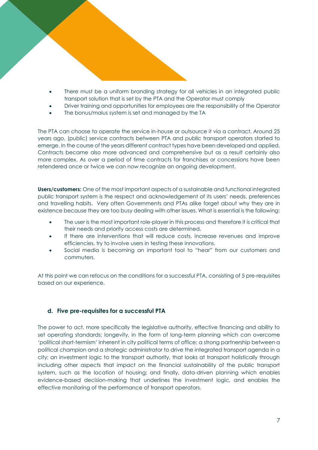- There must be a uniform branding strategy for all vehicles in an integrated public transport solution that is set by the PTA and the Operator must comply
- Driver training and opportunities for employees are the responsibility of the Operator
- The bonus/malus system is set and managed by the TA

The PTA can choose to operate the service in-house or outsource it via a contract. Around 25 years ago, (public) service contracts between PTA and public transport operators started to emerge. In the course of the years different contract types have been developed and applied. Contracts became also more advanced and comprehensive but as a result certainly also more complex. As over a period of time contracts for franchises or concessions have been retendered once or twice we can now recognize an ongoing development.

**Users/customers:** One of the most important aspects of a sustainable and functional integrated public transport system is the respect and acknowledgement of its users' needs, preferences and travelling habits. Very often Governments and PTAs alike forget about why they are in existence because they are too busy dealing with other issues. What is essential is the following:

- The user is the most important role-player in this process and therefore it is critical that their needs and priority access costs are determined.
- If there are interventions that will reduce costs, increase revenues and improve efficiencies, try to involve users in testing these innovations.
- Social media is becoming an important tool to "hear" from our customers and commuters.

At this point we can refocus on the conditions for a successful PTA, consisting of 5 pre-requisites based on our experience.

## **d. Five pre-requisites for a successful PTA**

The power to act, more specifically the legislative authority, effective financing and ability to set operating standards; longevity, in the form of long-term planning which can overcome 'political short-termism' inherent in city political terms of office; a strong partnership between a political champion and a strategic administrator to drive the integrated transport agenda in a city; an investment logic to the transport authority, that looks at transport holistically through including other aspects that impact on the financial sustainability of the public transport system, such as the location of housing; and finally, data-driven planning which enables evidence-based decision-making that underlines the investment logic, and enables the effective monitoring of the performance of transport operators.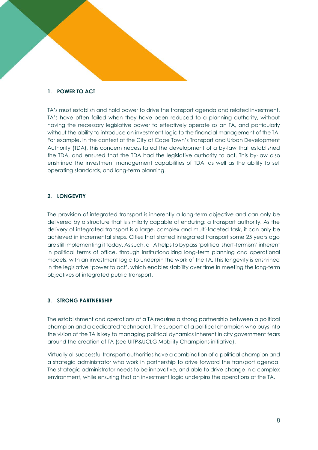#### **1. POWER TO ACT**

TA's must establish and hold power to drive the transport agenda and related investment. TA's have often failed when they have been reduced to a planning authority, without having the necessary legislative power to effectively operate as an TA, and particularly without the ability to introduce an investment logic to the financial management of the TA. For example, in the context of the City of Cape Town's Transport and Urban Development Authority (TDA), this concern necessitated the development of a by-law that established the TDA, and ensured that the TDA had the legislative authority to act. This by-law also enshrined the investment management capabilities of TDA, as well as the ability to set operating standards, and long-term planning.

## **2. LONGEVITY**

The provision of integrated transport is inherently a long-term objective and can only be delivered by a structure that is similarly capable of enduring: a transport authority. As the delivery of integrated transport is a large, complex and multi-faceted task, it can only be achieved in incremental steps. Cities that started integrated transport some 25 years ago are still implementing it today. As such, a TA helps to bypass 'political short-termism' inherent in political terms of office, through institutionalizing long-term planning and operational models, with an investment logic to underpin the work of the TA. This longevity is enshrined in the legislative 'power to act', which enables stability over time in meeting the long-term objectives of integrated public transport.

## **3. STRONG PARTNERSHIP**

The establishment and operations of a TA requires a strong partnership between a political champion and a dedicated technocrat. The support of a political champion who buys into the vision of the TA is key to managing political dynamics inherent in city government fears around the creation of TA (see UITP&UCLG Mobility Champions initiative).

Virtually all successful transport authorities have a combination of a political champion and a strategic administrator who work in partnership to drive forward the transport agenda. The strategic administrator needs to be innovative, and able to drive change in a complex environment, while ensuring that an investment logic underpins the operations of the TA.